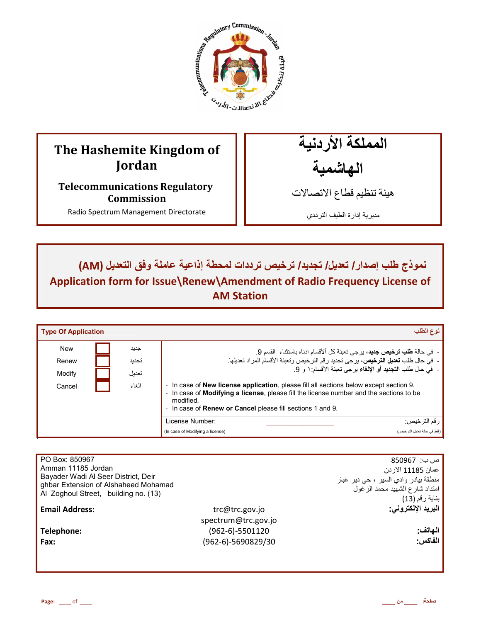

# **The Hashemite Kingdom of Jordan**

**Telecommunications Regulatory Commission** 

Radio Spectrum Management Directorate

المملكة الأردنية الهاشمية

هيئة تنظيم قطاع الاتصـالات

مديرية إدارة الطيف الترددي

ـ نموذج طلب إصدار / تعديل/ تجديد/ ترخيص ترددات لمحطة إذاعية عاملة وفق التعديل (AM) **Application form for Issue\Renew\Amendment of Radio Frequency License of AM Station** 

| <b>Type Of Application</b> |       | نوع الطلب                                                                                                                                                                                                                                                                   |
|----------------------------|-------|-----------------------------------------------------------------------------------------------------------------------------------------------------------------------------------------------------------------------------------------------------------------------------|
| <b>New</b>                 | جديد  | -  في حالة <b>طلب ترخيص جديد</b> ، يرجى تعبئة كل ألأقسام ادناه باستثناء  القسم 9.                                                                                                                                                                                           |
| Renew                      | تجديد | -  في حال طلب <b>تعديل الترخيص</b> ، يرجى تحديد رقم الترخيص وتعبئة الأقسام المراد تعديلها.                                                                                                                                                                                  |
| Modify                     | تعديل | -   في حال طلب ا <b>لتجديد</b> أو الإلغاء برجي تعبئة الأقسام: ١ و 9.                                                                                                                                                                                                        |
| Cancel                     | الغاء | - In case of <b>New license application</b> , please fill all sections below except section 9.<br>- In case of Modifying a license, please fill the license number and the sections to be<br>modified.<br>- In case of <b>Renew or Cancel</b> please fill sections 1 and 9. |
|                            |       | ر قم التر خيص:<br>License Number:                                                                                                                                                                                                                                           |
|                            |       | (فقط في حالة تحديل الترخيص)<br>(In case of Modifying a license)                                                                                                                                                                                                             |

| PO Box: 850967<br>Amman 11185 Jordan<br>Bayader Wadi Al Seer District, Deir<br>ghbar Extension of Alshaheed Mohamad<br>Al Zoghoul Street, building no. (13) |                                       | ص ب:  850967<br>عمان 11185 الاردن<br>منطقة بيادر وادي السير ، حي دير غبار<br>امتداد شارع الشهيد محمد الزغول<br>ر ناية رقم (13) |
|-------------------------------------------------------------------------------------------------------------------------------------------------------------|---------------------------------------|--------------------------------------------------------------------------------------------------------------------------------|
| <b>Email Address:</b>                                                                                                                                       | trc@trc.gov.jo<br>spectrum@trc.gov.jo | البريد الإلكتروني:                                                                                                             |
| Telephone:                                                                                                                                                  | (962-6)-5501120                       | الهاتف:<br>الفاكس:                                                                                                             |
| Fax:                                                                                                                                                        | (962-6)-5690829/30                    |                                                                                                                                |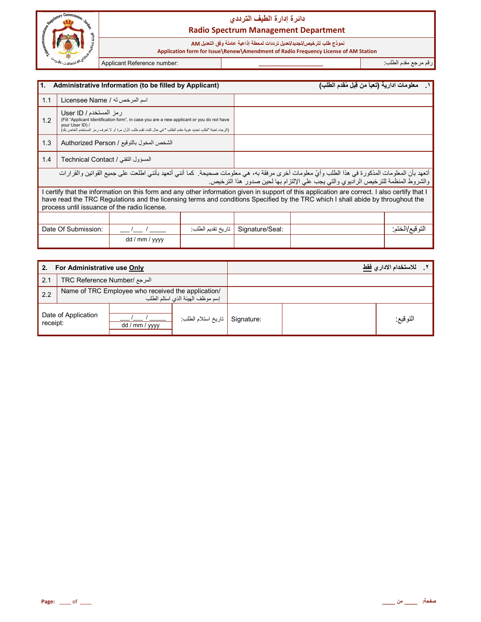

### دائرة إدارة الطيف الترد*دي* **Radio Spectrum Management Department**

نموذج طلب لترخيص/تجديد/تعديل ترددات لمحطة إذاعية عاملة وفق التعديل AM

 **Application form for Issue\Renew\Amendment of Radio Frequency License of AM Station**

رم رg' دم اط+ب: **\_\_\_\_\_\_\_\_\_\_\_\_\_\_\_\_\_\_\_\_\_\_** :number Reference Applicant

dd / mm / yyyy

İ

| l1.<br>Administrative Information (to be filled by Applicant)                                                                                                                                                                                                                                                                    |                                            |                                                                                                                                                                                                         |                   | معلومات ادارية (تعبأ من قِبل مُقدم الطلب) |                                                                                    |                |
|----------------------------------------------------------------------------------------------------------------------------------------------------------------------------------------------------------------------------------------------------------------------------------------------------------------------------------|--------------------------------------------|---------------------------------------------------------------------------------------------------------------------------------------------------------------------------------------------------------|-------------------|-------------------------------------------|------------------------------------------------------------------------------------|----------------|
| 1.1                                                                                                                                                                                                                                                                                                                              | اسم المرخص له / Licensee Name              |                                                                                                                                                                                                         |                   |                                           |                                                                                    |                |
| 1.2                                                                                                                                                                                                                                                                                                                              | ر مز المستخدم / User ID<br>your User ID) / | (Fill "Applicant Identification form", in case you are a new applicant or you do not have<br>(الرجاء تعبئة "طلب تحديد هوية مقدم الطلب " في حال كنت تقدم طلب لأول مرة أو لا تعرف ر مز المستخدم الخاص بك) |                   |                                           |                                                                                    |                |
| 1.3                                                                                                                                                                                                                                                                                                                              |                                            | الشخص المخول بالتوقيع / Authorized Person                                                                                                                                                               |                   |                                           |                                                                                    |                |
| 1.4                                                                                                                                                                                                                                                                                                                              | المسؤول التقنى / Technical Contact         |                                                                                                                                                                                                         |                   |                                           |                                                                                    |                |
| أتعهد بأن المعلومات المذكورة في هذا الطلب وأيّ معلومات أخرى مرفقة به، هي معلومات صحيحة. كما أنني أتعهد بأنني اطلعت على جميع القوانين والقرارات                                                                                                                                                                                   |                                            |                                                                                                                                                                                                         |                   |                                           |                                                                                    |                |
|                                                                                                                                                                                                                                                                                                                                  |                                            |                                                                                                                                                                                                         |                   |                                           | والشروط المنظمة للترخيص الراديوي والتي يجب على الإلتزام بها لحين صدور هذا الترخيص. |                |
| I certify that the information on this form and any other information given in support of this application are correct. I also certify that I<br>have read the TRC Regulations and the licensing terms and conditions Specified by the TRC which I shall abide by throughout the<br>process until issuance of the radio license. |                                            |                                                                                                                                                                                                         |                   |                                           |                                                                                    |                |
|                                                                                                                                                                                                                                                                                                                                  |                                            |                                                                                                                                                                                                         |                   |                                           |                                                                                    |                |
|                                                                                                                                                                                                                                                                                                                                  | Date Of Submission:                        |                                                                                                                                                                                                         | تاريخ تقديم الطلب | Signature/Seal:                           |                                                                                    | التوقيع/الختم: |

| For Administrative use Only<br>2. |                                                                                        |                |                     | للاستخدام الاداري فقط |          |
|-----------------------------------|----------------------------------------------------------------------------------------|----------------|---------------------|-----------------------|----------|
| 2.1                               | المرجع /TRC Reference Number                                                           |                |                     |                       |          |
| 2.2                               | Name of TRC Employee who received the application/<br>إسم موظف الهيئة الذي استلم الطلب |                |                     |                       |          |
| receipt:                          | Date of Application                                                                    | dd / mm / yyyy | تاريخ استلام الطلب: | Signature:            | النوقيع: |

I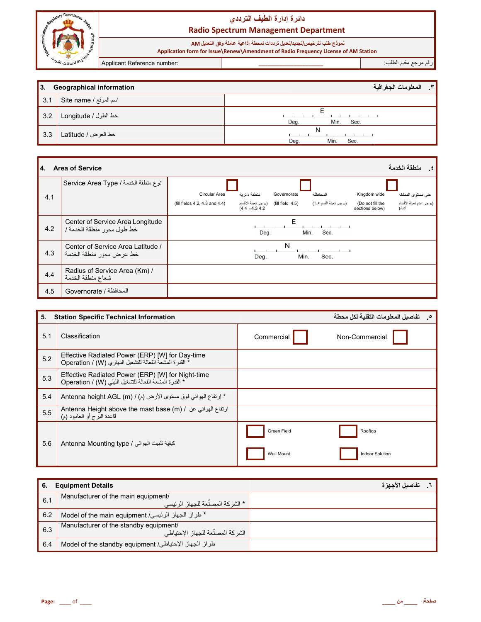

| I3. | <b>Geographical information</b> | المعلومات الجغرافية<br>$\mathbf{r}$ |
|-----|---------------------------------|-------------------------------------|
| 3.1 | اسم الموقع / Site name          |                                     |
| 3.2 | خط الطول / Longitude            | Deg.<br>Min.<br>Sec.                |
| 3.3 | خط العرض / Latitude             | N<br>Min.<br>Deg.<br>Sec.           |

| 14. | <b>Area of Service</b>                                        |                                                 |                                                        |                                    |                                    |                                                     | منطقة الخدمة<br>્ ≴                                    |
|-----|---------------------------------------------------------------|-------------------------------------------------|--------------------------------------------------------|------------------------------------|------------------------------------|-----------------------------------------------------|--------------------------------------------------------|
| 4.1 | نوع منطقة الخدمة / Service Area Type                          | Circular Area<br>(fill fields 4.2, 4.3 and 4.4) | منطقة دائر ية<br>(برجي تعبئة الأقسام<br>4.4 و4.4 (4.4) | Governorate<br>(fill field $4.5$ ) | المحافظة<br>(يرجى تعبئة القسم ٤.٥) | Kingdom wide<br>(Do not fill the<br>sections below) | على مستوى المملكة<br>(يرجى عدم تعبنة الأقسام<br>أدناه) |
| 4.2 | Center of Service Area Longitude<br>خط طول محور منطقة الخدمة/ | Е<br>Min.<br>Sec.<br>Dea.                       |                                                        |                                    |                                    |                                                     |                                                        |
| 4.3 | Center of Service Area Latitude /<br>خط عرض محور منطقة الخدمة |                                                 | Deg.                                                   | N<br>Min.                          | Sec.                               |                                                     |                                                        |
| 4.4 | Radius of Service Area (Km) /<br>شعاع منطقة الخدمة            |                                                 |                                                        |                                    |                                    |                                                     |                                                        |
| 4.5 | المحافظة / Governorate                                        |                                                 |                                                        |                                    |                                    |                                                     |                                                        |

| 5.  | <b>Station Specific Technical Information</b>                                                                                   |                           | تفاصيل المعلومات التقنية لكل محطة |
|-----|---------------------------------------------------------------------------------------------------------------------------------|---------------------------|-----------------------------------|
| 5.1 | Classification                                                                                                                  | Commercial                | Non-Commercial                    |
| 5.2 | Effective Radiated Power (ERP) [W] for Day-time<br>* القدرة المشعة الفعالة للتشغيل النهاري (W) / Operation                      |                           |                                   |
| 5.3 | Effective Radiated Power (ERP) [W] for Night-time<br>* القدرة المشعة الفعالة للتشغيل الليلي (W) / Operation                     |                           |                                   |
| 5.4 | * إرتفاع الهوائي فوق مستوى الأرض (م) / Antenna height AGL (m)                                                                   |                           |                                   |
| 5.5 | Antenna Height above the mast base (m) / ارتفاع الهوائي عن Antenna Height above the mast base (m)<br>قاعدة البرج أو العامود (م) |                           |                                   |
| 5.6 | كيفية تثبيت الهوائي / Antenna Mounting type                                                                                     | Green Field<br>Wall Mount | Rooftop<br><b>Indoor Solution</b> |

| 6.  | <b>Equipment Details</b>                                                       | تفاصيل الأجهز ة |
|-----|--------------------------------------------------------------------------------|-----------------|
| 6.1 | Manufacturer of the main equipment/<br>ر * الشر كة المصنِّعة للجهاز الرئيسي    |                 |
| 6.2 | * طراز الجهاز الرئيسي/ Model of the main equipment                             |                 |
| 6.3 | Manufacturer of the standby equipment/<br>، الشر كة المصنِّعة للجهاز الإحتياطي |                 |
| 6.4 | طراز الجهاز الإحتياطي/ Model of the standby equipment                          |                 |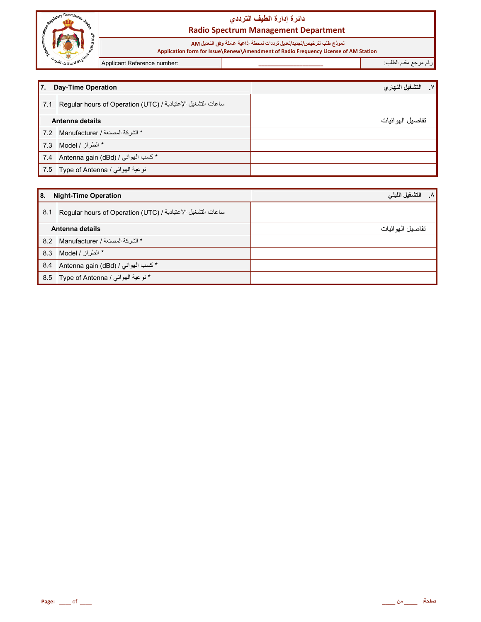

## <mark>دائرة إدارة الطيف الترددي</mark> **Radio Spectrum Management Department**

نموذج طلب لترخيص/تجديد/تعديل ترددات لمحطة إذاعية عاملة وفق التعديل AM

 **Application form for Issue\Renew\Amendment of Radio Frequency License of AM Station**

| 7.  | <b>Day-Time Operation</b>                                   | ٧   التشغيل النهاري |
|-----|-------------------------------------------------------------|---------------------|
| 7.1 | ساعات التشغيل الإعتيادية / Regular hours of Operation (UTC) |                     |
|     | Antenna details                                             | تفاصيل الهوائيات    |
|     | * الشركة المصنعة / Manufacturer   7.2                       |                     |
|     | * الطراز / Model 7.3 Model                                  |                     |
|     | * كسب الهوائي / Antenna gain (dBd) 7.4                      |                     |
|     | نو عية الموائي / Type of Antenna أو عية الموائي             |                     |

| <b>8.</b>       | <b>Night-Time Operation</b>                                 | التشغيل الليلي<br>$\cdot^{\mathsf{A}}$ |
|-----------------|-------------------------------------------------------------|----------------------------------------|
| 8.1             | ساعات التشغيل الاعتيادية / Regular hours of Operation (UTC) |                                        |
| Antenna details |                                                             | تفاصيل الهوائيات                       |
| 8.2             | * الشركة المصنعة / Manufacturer                             |                                        |
| 8.3             | * الطراز / Model                                            |                                        |
| 8.4             | * كسب الهوائي / Antenna gain (dBd)                          |                                        |
| 8.5             | * نوعية الهوائي / Type of Antenna                           |                                        |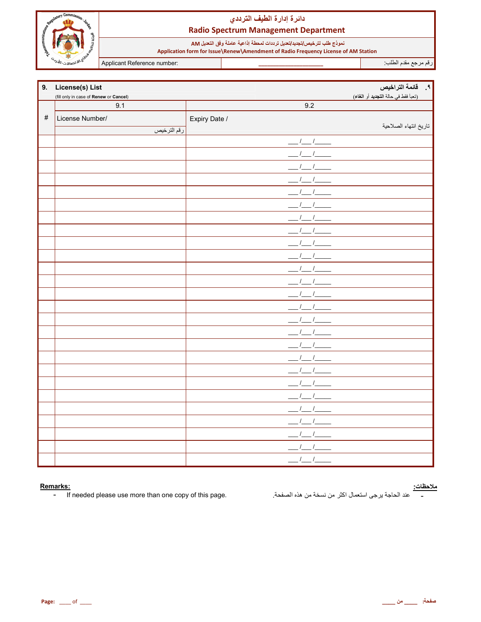

### دائرة إدارة الطيف الترددي **Radio Spectrum Management Department**

نموذج طلب لترخيص/تجديد/تعديل ترددات لمحطة إذاعية عاملة وفق التعديل AM<br>Application form for Issue\Renew\Amendment of Radio Frequency License of AM Station

Applicant Reference number:

رقم مرجع مقدم الطلب

| 9.   | License(s) List                        |                        | ٩. قائمة التراخيص                   |
|------|----------------------------------------|------------------------|-------------------------------------|
|      | (fill only in case of Renew or Cancel) |                        | (تعبأ فقط في حالة التجديد أو الغاء) |
|      | 9.1                                    | 9.2                    |                                     |
| $\#$ | License Number/                        | Expiry Date /          |                                     |
|      | رقم الترخيص                            |                        | تاريخ انتهاء الصلاحية               |
|      |                                        | $\sqrt{1}$             |                                     |
|      |                                        |                        |                                     |
|      |                                        |                        |                                     |
|      |                                        |                        |                                     |
|      |                                        |                        |                                     |
|      |                                        |                        |                                     |
|      |                                        |                        |                                     |
|      |                                        |                        |                                     |
|      |                                        |                        |                                     |
|      |                                        |                        |                                     |
|      |                                        |                        |                                     |
|      |                                        |                        |                                     |
|      |                                        |                        |                                     |
|      |                                        |                        |                                     |
|      |                                        |                        |                                     |
|      |                                        |                        |                                     |
|      |                                        |                        |                                     |
|      |                                        |                        |                                     |
|      |                                        |                        |                                     |
|      |                                        |                        |                                     |
|      |                                        |                        |                                     |
|      |                                        |                        |                                     |
|      |                                        |                        |                                     |
|      |                                        |                        |                                     |
|      |                                        | $\sqrt{ }$             |                                     |
|      |                                        | $\prime$<br>$\sqrt{ }$ |                                     |

#### Remarks:

If needed please use more than one copy of this page.  $\omega_{\rm c}$ 

<mark>ملاحظات:</mark><br>\_\_\_\_\_\_ عند الحاجة يرجى استعمال اكثر من نسخة من هذه الصفحة<sub>.</sub>